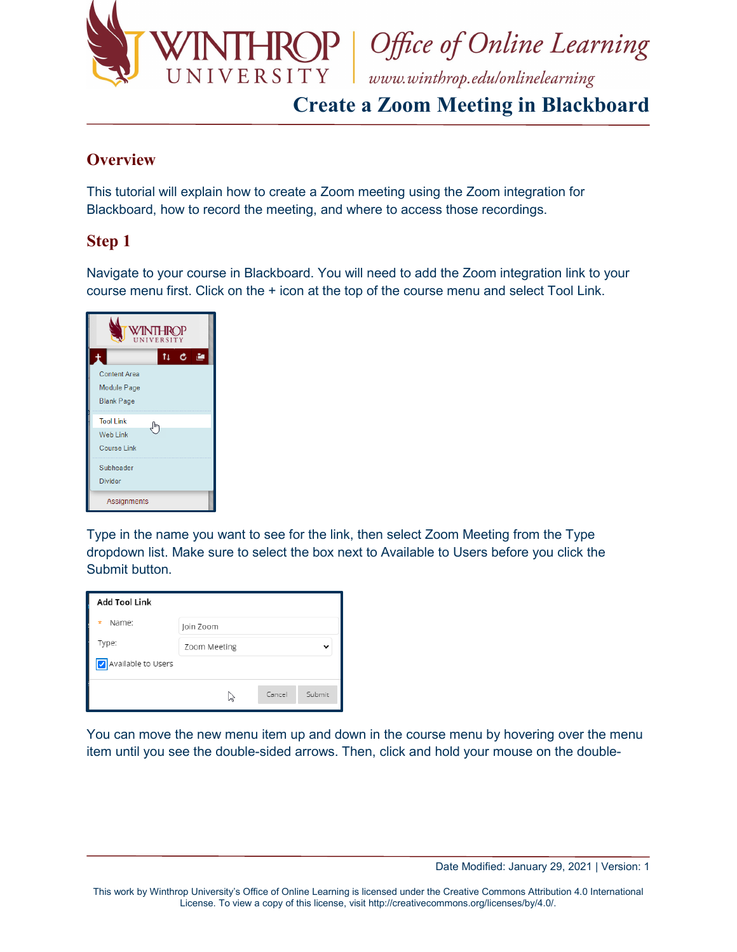

# **Create a Zoom Meeting in Blackboard**

#### **Overview**

This tutorial will explain how to create a Zoom meeting using the Zoom integration for Blackboard, how to record the meeting, and where to access those recordings.

### **Step 1**

Navigate to your course in Blackboard. You will need to add the Zoom integration link to your course menu first. Click on the + icon at the top of the course menu and select Tool Link.

|                                                         | WINTHROP |       |
|---------------------------------------------------------|----------|-------|
|                                                         | tı       | $c =$ |
| <b>Content Area</b><br>Module Page<br><b>Blank Page</b> |          |       |
| <b>Tool Link</b><br>Web Link<br><b>Course Link</b>      | m        |       |
| Subheader<br><b>Divider</b>                             |          |       |
| Assignments                                             |          |       |

Type in the name you want to see for the link, then select Zoom Meeting from the Type dropdown list. Make sure to select the box next to Available to Users before you click the Submit button.

| <b>Add Tool Link</b> |              |        |        |
|----------------------|--------------|--------|--------|
| Name:<br>$\star$     | Join Zoom    |        |        |
| Type:                | Zoom Meeting |        |        |
| Available to Users   |              |        |        |
|                      | ド            | Cancel | Submit |

You can move the new menu item up and down in the course menu by hovering over the menu item until you see the double-sided arrows. Then, click and hold your mouse on the double-

Date Modified: January 29, 2021 | Version: 1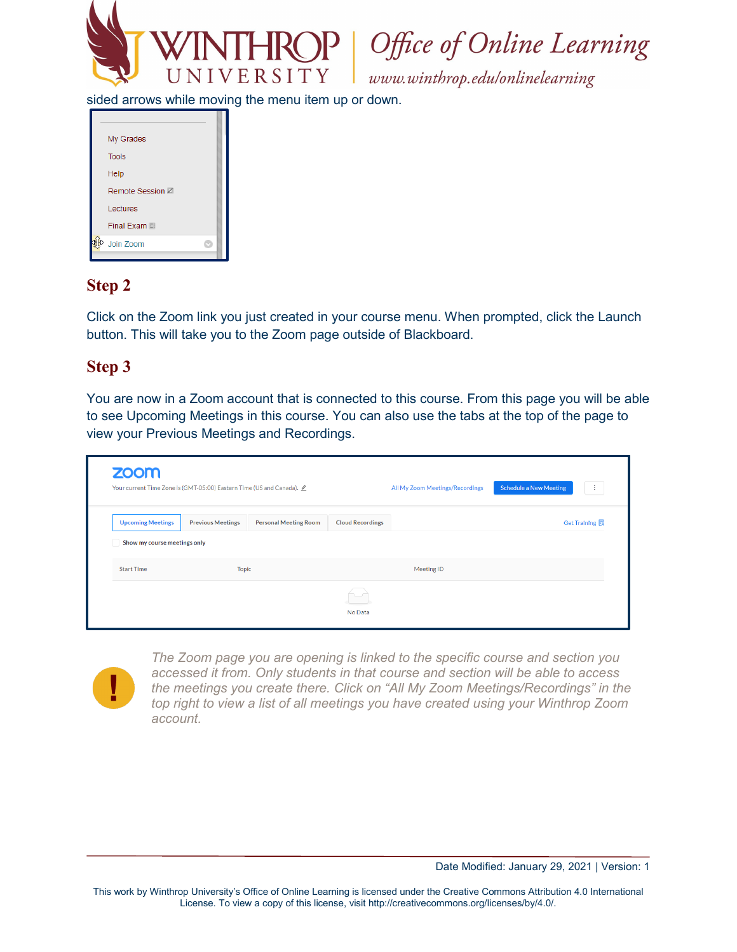

 $\mathbf{P} \mid$  Office of Online Learning

www.winthrop.edulonlinelearning

sided arrows while moving the menu item up or down.

| My Grades        |  |
|------------------|--|
| <b>Tools</b>     |  |
| Help             |  |
| Remote Session Z |  |
| Lectures         |  |
| Final Exam       |  |
| Join Zoom        |  |
|                  |  |

### **Step 2**

Click on the Zoom link you just created in your course menu. When prompted, click the Launch button. This will take you to the Zoom page outside of Blackboard.

#### **Step 3**

You are now in a Zoom account that is connected to this course. From this page you will be able to see Upcoming Meetings in this course. You can also use the tabs at the top of the page to view your Previous Meetings and Recordings.

|                                   | Your current Time Zone is (GMT-05:00) Eastern Time (US and Canada). $\angle$ |                              |                         | All My Zoom Meetings/Recordings | <b>Schedule a New Meeting</b><br>÷ |
|-----------------------------------|------------------------------------------------------------------------------|------------------------------|-------------------------|---------------------------------|------------------------------------|
| <b>Upcoming Meetings</b>          | <b>Previous Meetings</b>                                                     | <b>Personal Meeting Room</b> | <b>Cloud Recordings</b> |                                 | Get Training <sub>5</sub>          |
| Show my course meetings only      |                                                                              |                              |                         |                                 |                                    |
| <b>Topic</b><br><b>Start Time</b> |                                                                              |                              |                         | Meeting ID                      |                                    |
|                                   |                                                                              |                              |                         |                                 |                                    |



*The Zoom page you are opening is linked to the specific course and section you accessed it from. Only students in that course and section will be able to access the meetings you create there. Click on "All My Zoom Meetings/Recordings" in the top right to view a list of all meetings you have created using your Winthrop Zoom account.*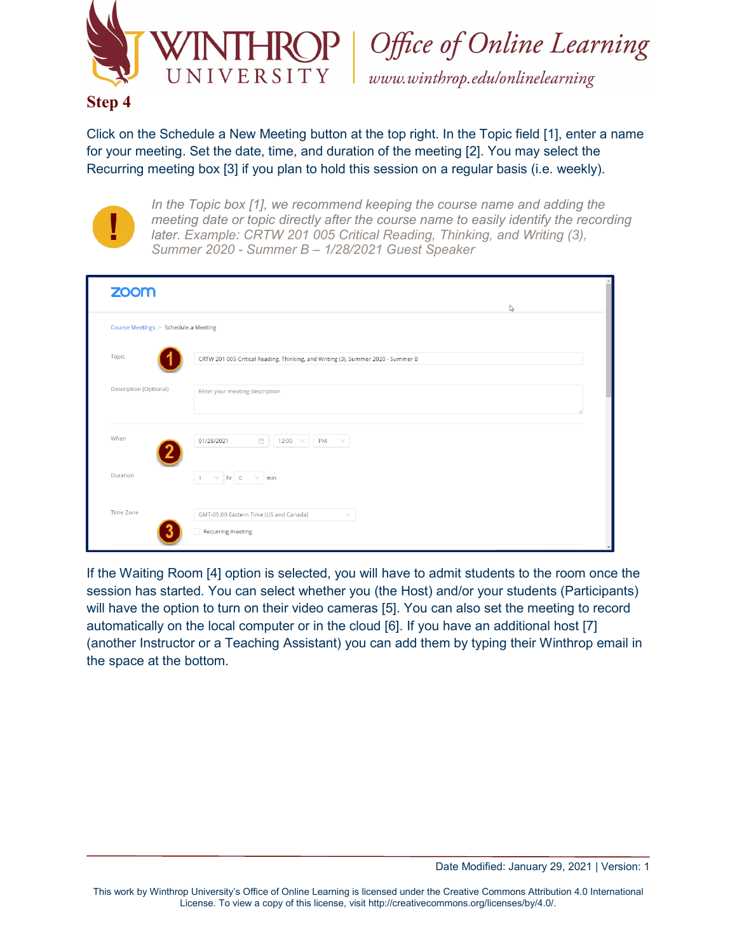

Office of Online Learning

www.winthrop.edulonlinelearning

#### **Step 4**

Click on the Schedule a New Meeting button at the top right. In the Topic field [1], enter a name for your meeting. Set the date, time, and duration of the meeting [2]. You may select the Recurring meeting box [3] if you plan to hold this session on a regular basis (i.e. weekly).



*In the Topic box [1], we recommend keeping the course name and adding the meeting date or topic directly after the course name to easily identify the recording later. Example: CRTW 201 005 Critical Reading, Thinking, and Writing (3), Summer 2020 - Summer B – 1/28/2021 Guest Speaker*

| zoom                                 | $\mathbb{S}$                                                                     |
|--------------------------------------|----------------------------------------------------------------------------------|
| Course Meetings > Schedule a Meeting |                                                                                  |
| Topic                                | CRTW 201 005 Critical Reading, Thinking, and Writing (3), Summer 2020 - Summer B |
| <b>Description (Optional)</b>        | Enter your meeting description                                                   |
| When                                 | $\mathrel{\boxplus}$<br>01/28/2021<br>12:00 $\vee$<br>PM<br>$\vee$               |
| Duration                             | $\vee$ hr 0<br>$\vee$ min<br>$\blacksquare$                                      |
| <b>Time Zone</b>                     | GMT-05:00 Eastern Time (US and Canada)<br>$\vee$<br>Recurring meeting            |

If the Waiting Room [4] option is selected, you will have to admit students to the room once the session has started. You can select whether you (the Host) and/or your students (Participants) will have the option to turn on their video cameras [5]. You can also set the meeting to record automatically on the local computer or in the cloud [6]. If you have an additional host [7] (another Instructor or a Teaching Assistant) you can add them by typing their Winthrop email in the space at the bottom.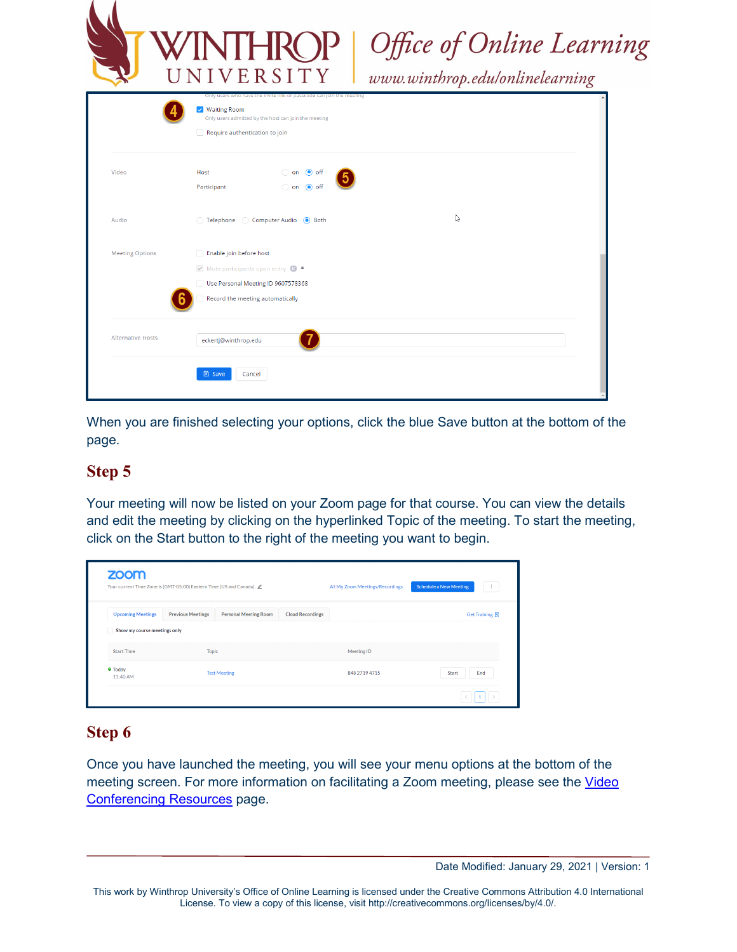|                          |                                                                                                                                               | 'INTHROP<br>NIVERSITY                                                                                                        | Office of Online Learning<br>www.winthrop.edulonlinelearning |  |  |
|--------------------------|-----------------------------------------------------------------------------------------------------------------------------------------------|------------------------------------------------------------------------------------------------------------------------------|--------------------------------------------------------------|--|--|
|                          | V Waiting Room<br>Require authentication to join                                                                                              | Only users who have the invite link or passcode can join the meeting<br>Only users admitted by the host can join the meeting |                                                              |  |  |
| Video                    | Host<br>Participant                                                                                                                           | $\bigcirc$ on $\bigcirc$ off<br>on off                                                                                       |                                                              |  |  |
| Audio                    | ◯ Telephone<br>Computer Audio (Contracts)                                                                                                     |                                                                                                                              | $\mathbb{Z}$                                                 |  |  |
| <b>Meeting Options</b>   | Enable join before host<br>Mute participants upon entry <b>12 ·</b><br>Use Personal Meeting ID 9607578368<br>Record the meeting automatically |                                                                                                                              |                                                              |  |  |
| <b>Alternative Hosts</b> | eckertj@winthrop.edu                                                                                                                          |                                                                                                                              |                                                              |  |  |

When you are finished selecting your options, click the blue Save button at the bottom of the page.

## **Step 5**

Your meeting will now be listed on your Zoom page for that course. You can view the details and edit the meeting by clicking on the hyperlinked Topic of the meeting. To start the meeting, click on the Start button to the right of the meeting you want to begin.

| Your current Time Zone is (GMT-05:00) Eastern Time (US and Canada). 2 |                          |                              | All My Zoom Meetings/Recordings | <b>Schedule a New Meeting</b><br>÷ |                |
|-----------------------------------------------------------------------|--------------------------|------------------------------|---------------------------------|------------------------------------|----------------|
| <b>Upcoming Meetings</b>                                              | <b>Previous Meetings</b> | <b>Personal Meeting Room</b> | <b>Cloud Recordings</b>         |                                    | Get Training 园 |
| Show my course meetings only                                          |                          |                              |                                 |                                    |                |
| <b>Start Time</b>                                                     | <b>Topic</b>             |                              |                                 | Meeting ID                         |                |
| <b>O</b> Today<br>11:40 AM                                            | <b>Test Meeting</b>      |                              | 848 2719 4715                   | <b>Start</b><br>End                |                |

### **Step 6**

Once you have launched the meeting, you will see your menu options at the bottom of the meeting screen. For more information on facilitating a Zoom meeting, please see the Video [Conferencing Resources](https://www.winthrop.edu/technology/video-conferencing-platforms.aspx) page.

Date Modified: January 29, 2021 | Version: 1